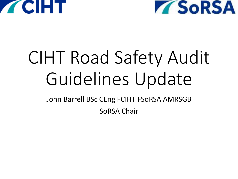



## CIHT Road Safety Audit Guidelines Update

John Barrell BSc CEng FCIHT FSoRSA AMRSGB

SoRSA Chair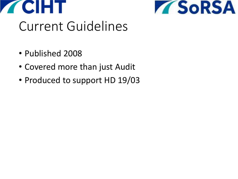



### Current Guidelines

- Published 2008
- Covered more than just Audit
- Produced to support HD 19/03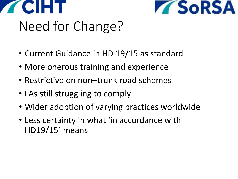



### Need for Change?

- Current Guidance in HD 19/15 as standard
- More onerous training and experience
- Restrictive on non–trunk road schemes
- LAs still struggling to comply
- Wider adoption of varying practices worldwide
- Less certainty in what 'in accordance with HD19/15' means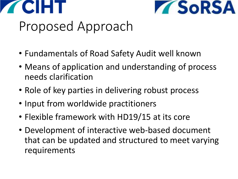



### Proposed Approach

- Fundamentals of Road Safety Audit well known
- Means of application and understanding of process needs clarification
- Role of key parties in delivering robust process
- Input from worldwide practitioners
- Flexible framework with HD19/15 at its core
- Development of interactive web-based document that can be updated and structured to meet varying requirements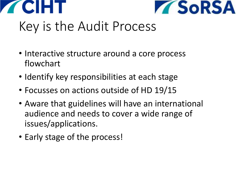



### Key is the Audit Process

- Interactive structure around a core process flowchart
- Identify key responsibilities at each stage
- Focusses on actions outside of HD 19/15
- Aware that guidelines will have an international audience and needs to cover a wide range of issues/applications.
- Early stage of the process!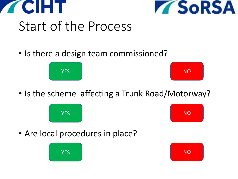<span id="page-5-0"></span>



### Start of the Process

• Is there a design team commissioned?



• Is the scheme affecting a Trunk Road/Motorway?



• Are local procedures in place?

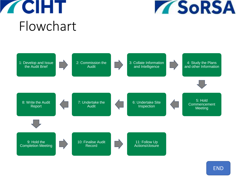<span id="page-6-0"></span>





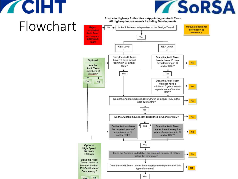

Advice to Highway Authorities - Appointing an Audit Team All Highway Improvements Including Developments



### Flowchart

<span id="page-7-0"></span>**ZCHT**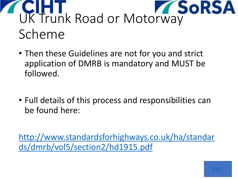<span id="page-8-0"></span>

- Then these Guidelines are not for you and strict application of DMRB is mandatory and MUST be followed.
- Full details of this process and responsibilities can be found here:

[http://www.standardsforhighways.co.uk/ha/standar](http://www.standardsforhighways.co.uk/ha/standards/dmrb/vol5/section2/hd1915.pdf) ds/dmrb/vol5/section2/hd1915.pdf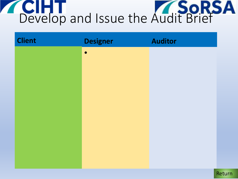<span id="page-9-0"></span>

| <b>Client</b> | <b>Designer</b> | <b>Auditor</b> |        |
|---------------|-----------------|----------------|--------|
|               | $\bullet$       |                |        |
|               |                 |                |        |
|               |                 |                |        |
|               |                 |                |        |
|               |                 |                |        |
|               |                 |                |        |
|               |                 |                |        |
|               |                 |                |        |
|               |                 |                | Return |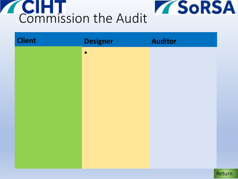



| <b>Client</b> | <b>Designer</b> | <b>Auditor</b> |        |
|---------------|-----------------|----------------|--------|
|               | $\bullet$       |                |        |
|               |                 |                |        |
|               |                 |                |        |
|               |                 |                |        |
|               |                 |                |        |
|               |                 |                |        |
|               |                 |                |        |
|               |                 |                |        |
|               |                 |                |        |
|               |                 |                | Return |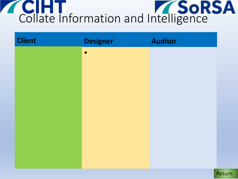# <span id="page-11-0"></span>**CCIHT**<br>Collate Information and Intelligence

| <b>Client</b> | <b>Designer</b> | <b>Auditor</b> |        |
|---------------|-----------------|----------------|--------|
|               | $\bullet$       |                |        |
|               |                 |                |        |
|               |                 |                |        |
|               |                 |                |        |
|               |                 |                |        |
|               |                 |                |        |
|               |                 |                |        |
|               |                 |                |        |
|               |                 |                | Return |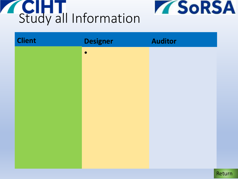<span id="page-12-0"></span>



| <b>Client</b> | <b>Designer</b> | <b>Auditor</b> |        |
|---------------|-----------------|----------------|--------|
|               | $\bullet$       |                |        |
|               |                 |                |        |
|               |                 |                |        |
|               |                 |                |        |
|               |                 |                |        |
|               |                 |                |        |
|               |                 |                |        |
|               |                 |                |        |
|               |                 |                |        |
|               |                 |                | Return |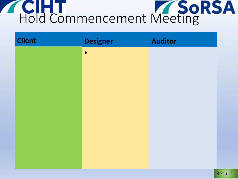<span id="page-13-0"></span>

| <b>Client</b> | <b>Designer</b> | <b>Auditor</b> |        |
|---------------|-----------------|----------------|--------|
|               | $\bullet$       |                |        |
|               |                 |                |        |
|               |                 |                |        |
|               |                 |                |        |
|               |                 |                |        |
|               |                 |                |        |
|               |                 |                |        |
|               |                 |                |        |
|               |                 |                | Return |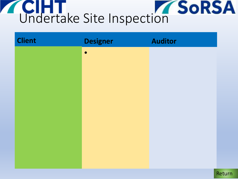<span id="page-14-0"></span>

| <b>Client</b> | <b>Designer</b> | <b>Auditor</b> |        |
|---------------|-----------------|----------------|--------|
|               | $\bullet$       |                |        |
|               |                 |                |        |
|               |                 |                |        |
|               |                 |                |        |
|               |                 |                |        |
|               |                 |                |        |
|               |                 |                |        |
|               |                 |                |        |
|               |                 |                | Return |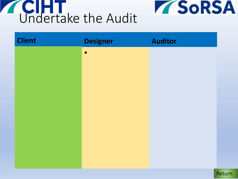<span id="page-15-0"></span>



| <b>Client</b> | <b>Designer</b> | <b>Auditor</b> |        |
|---------------|-----------------|----------------|--------|
|               | $\bullet$       |                |        |
|               |                 |                |        |
|               |                 |                |        |
|               |                 |                |        |
|               |                 |                |        |
|               |                 |                |        |
|               |                 |                |        |
|               |                 |                |        |
|               |                 |                |        |
|               |                 |                | Return |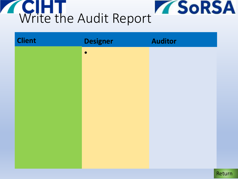<span id="page-16-0"></span>

| <b>Client</b> | <b>Designer</b> | <b>Auditor</b> |
|---------------|-----------------|----------------|
|               | $\bullet$       |                |
|               |                 |                |
|               |                 |                |
|               |                 |                |
|               |                 |                |
|               |                 |                |
|               |                 |                |
|               |                 |                |
|               |                 |                |

[Return](#page-6-0)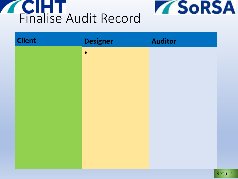<span id="page-17-0"></span>



| <b>Client</b> | <b>Designer</b> | <b>Auditor</b> |        |
|---------------|-----------------|----------------|--------|
|               | $\bullet$       |                |        |
|               |                 |                |        |
|               |                 |                |        |
|               |                 |                |        |
|               |                 |                |        |
|               |                 |                |        |
|               |                 |                |        |
|               |                 |                |        |
|               |                 |                |        |
|               |                 |                | Return |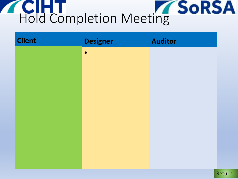<span id="page-18-0"></span>**CIHT**<br>Hold Completion Meeting<br>Note: 1998

| <b>Client</b> | <b>Designer</b> | <b>Auditor</b> |        |
|---------------|-----------------|----------------|--------|
|               | $\bullet$       |                |        |
|               |                 |                |        |
|               |                 |                |        |
|               |                 |                |        |
|               |                 |                |        |
|               |                 |                |        |
|               |                 |                |        |
|               |                 |                |        |
|               |                 |                |        |
|               |                 |                | Return |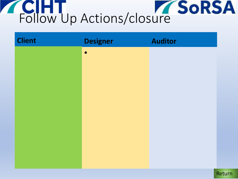<span id="page-19-0"></span>

| <b>Client</b> | <b>Designer</b> | <b>Auditor</b> |        |
|---------------|-----------------|----------------|--------|
|               | $\bullet$       |                |        |
|               |                 |                |        |
|               |                 |                |        |
|               |                 |                |        |
|               |                 |                |        |
|               |                 |                |        |
|               |                 |                |        |
|               |                 |                |        |
|               |                 |                | Return |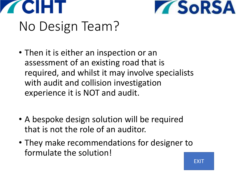<span id="page-20-0"></span>



### No Design Team?

- Then it is either an inspection or an assessment of an existing road that is required, and whilst it may involve specialists with audit and collision investigation experience it is NOT and audit.
- A bespoke design solution will be required that is not the role of an auditor.
- They make recommendations for designer to formulate the solution!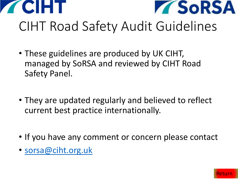<span id="page-21-0"></span>



### CIHT Road Safety Audit Guidelines

- These guidelines are produced by UK CIHT, managed by SoRSA and reviewed by CIHT Road Safety Panel.
- They are updated regularly and believed to reflect current best practice internationally.
- If you have any comment or concern please contact
- [sorsa@ciht.org.uk](mailto:sorsa@ciht.org.uk)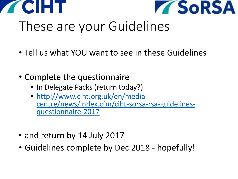



### These are your Guidelines

- Tell us what YOU want to see in these Guidelines
- Complete the questionnaire
	- In Delegate Packs (return today?)
	- http://www.ciht.org.uk/en/media[centre/news/index.cfm/ciht-sorsa-rsa-guidelines](http://www.ciht.org.uk/en/media-centre/news/index.cfm/ciht-sorsa-rsa-guidelines-questionnaire-2017)questionnaire-2017
- and return by 14 July 2017
- Guidelines complete by Dec 2018 hopefully!